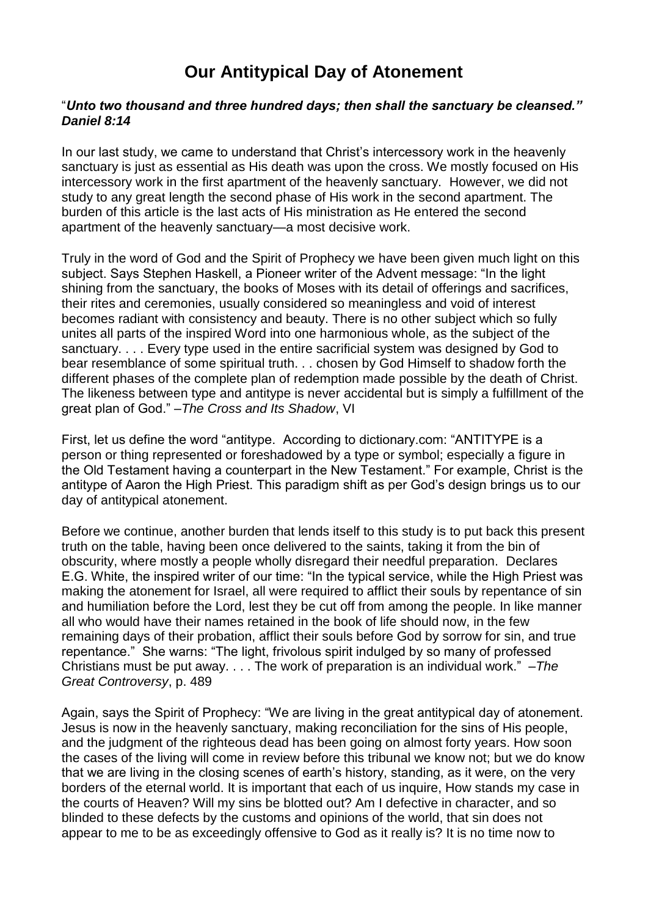# **Our Antitypical Day of Atonement**

#### "*Unto two thousand and three hundred days; then shall the sanctuary be cleansed." Daniel 8:14*

In our last study, we came to understand that Christ's intercessory work in the heavenly sanctuary is just as essential as His death was upon the cross. We mostly focused on His intercessory work in the first apartment of the heavenly sanctuary. However, we did not study to any great length the second phase of His work in the second apartment. The burden of this article is the last acts of His ministration as He entered the second apartment of the heavenly sanctuary—a most decisive work.

Truly in the word of God and the Spirit of Prophecy we have been given much light on this subject. Says Stephen Haskell, a Pioneer writer of the Advent message: "In the light shining from the sanctuary, the books of Moses with its detail of offerings and sacrifices, their rites and ceremonies, usually considered so meaningless and void of interest becomes radiant with consistency and beauty. There is no other subject which so fully unites all parts of the inspired Word into one harmonious whole, as the subject of the sanctuary. . . . Every type used in the entire sacrificial system was designed by God to bear resemblance of some spiritual truth. . . chosen by God Himself to shadow forth the different phases of the complete plan of redemption made possible by the death of Christ. The likeness between type and antitype is never accidental but is simply a fulfillment of the great plan of God." –*The Cross and Its Shadow*, VI

First, let us define the word "antitype. According to dictionary.com: "ANTITYPE is a person or thing represented or foreshadowed by a type or symbol; especially a figure in the Old Testament having a counterpart in the New Testament." For example, Christ is the antitype of Aaron the High Priest. This paradigm shift as per God's design brings us to our day of antitypical atonement.

Before we continue, another burden that lends itself to this study is to put back this present truth on the table, having been once delivered to the saints, taking it from the bin of obscurity, where mostly a people wholly disregard their needful preparation. Declares E.G. White, the inspired writer of our time: "In the typical service, while the High Priest was making the atonement for Israel, all were required to afflict their souls by repentance of sin and humiliation before the Lord, lest they be cut off from among the people. In like manner all who would have their names retained in the book of life should now, in the few remaining days of their probation, afflict their souls before God by sorrow for sin, and true repentance." She warns: "The light, frivolous spirit indulged by so many of professed Christians must be put away. . . . The work of preparation is an individual work." –*The Great Controversy*, p. 489

Again, says the Spirit of Prophecy: "We are living in the great antitypical day of atonement. Jesus is now in the heavenly sanctuary, making reconciliation for the sins of His people, and the judgment of the righteous dead has been going on almost forty years. How soon the cases of the living will come in review before this tribunal we know not; but we do know that we are living in the closing scenes of earth's history, standing, as it were, on the very borders of the eternal world. It is important that each of us inquire, How stands my case in the courts of Heaven? Will my sins be blotted out? Am I defective in character, and so blinded to these defects by the customs and opinions of the world, that sin does not appear to me to be as exceedingly offensive to God as it really is? It is no time now to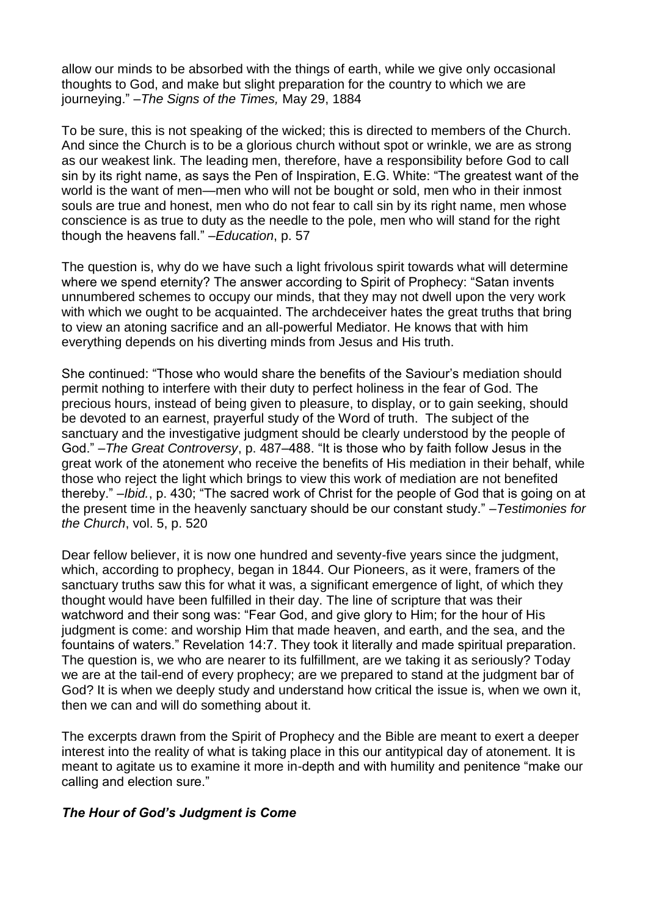allow our minds to be absorbed with the things of earth, while we give only occasional thoughts to God, and make but slight preparation for the country to which we are journeying." –*The Signs of the Times,* May 29, 1884

To be sure, this is not speaking of the wicked; this is directed to members of the Church. And since the Church is to be a glorious church without spot or wrinkle, we are as strong as our weakest link. The leading men, therefore, have a responsibility before God to call sin by its right name, as says the Pen of Inspiration, E.G. White: "The greatest want of the world is the want of men—men who will not be bought or sold, men who in their inmost souls are true and honest, men who do not fear to call sin by its right name, men whose conscience is as true to duty as the needle to the pole, men who will stand for the right though the heavens fall." –*Education*, p. 57

The question is, why do we have such a light frivolous spirit towards what will determine where we spend eternity? The answer according to Spirit of Prophecy: "Satan invents unnumbered schemes to occupy our minds, that they may not dwell upon the very work with which we ought to be acquainted. The archdeceiver hates the great truths that bring to view an atoning sacrifice and an all-powerful Mediator. He knows that with him everything depends on his diverting minds from Jesus and His truth.

She continued: "Those who would share the benefits of the Saviour's mediation should permit nothing to interfere with their duty to perfect holiness in the fear of God. The precious hours, instead of being given to pleasure, to display, or to gain seeking, should be devoted to an earnest, prayerful study of the Word of truth. The subject of the sanctuary and the investigative judgment should be clearly understood by the people of God." –*The Great Controversy*, p. 487–488. "It is those who by faith follow Jesus in the great work of the atonement who receive the benefits of His mediation in their behalf, while those who reject the light which brings to view this work of mediation are not benefited thereby." –*Ibid.*, p. 430; "The sacred work of Christ for the people of God that is going on at the present time in the heavenly sanctuary should be our constant study." –*Testimonies for the Church*, vol. 5, p. 520

Dear fellow believer, it is now one hundred and seventy-five years since the judgment, which, according to prophecy, began in 1844. Our Pioneers, as it were, framers of the sanctuary truths saw this for what it was, a significant emergence of light, of which they thought would have been fulfilled in their day. The line of scripture that was their watchword and their song was: "Fear God, and give glory to Him; for the hour of His judgment is come: and worship Him that made heaven, and earth, and the sea, and the fountains of waters." Revelation 14:7. They took it literally and made spiritual preparation. The question is, we who are nearer to its fulfillment, are we taking it as seriously? Today we are at the tail-end of every prophecy; are we prepared to stand at the judgment bar of God? It is when we deeply study and understand how critical the issue is, when we own it, then we can and will do something about it.

The excerpts drawn from the Spirit of Prophecy and the Bible are meant to exert a deeper interest into the reality of what is taking place in this our antitypical day of atonement. It is meant to agitate us to examine it more in-depth and with humility and penitence "make our calling and election sure."

#### *The Hour of God's Judgment is Come*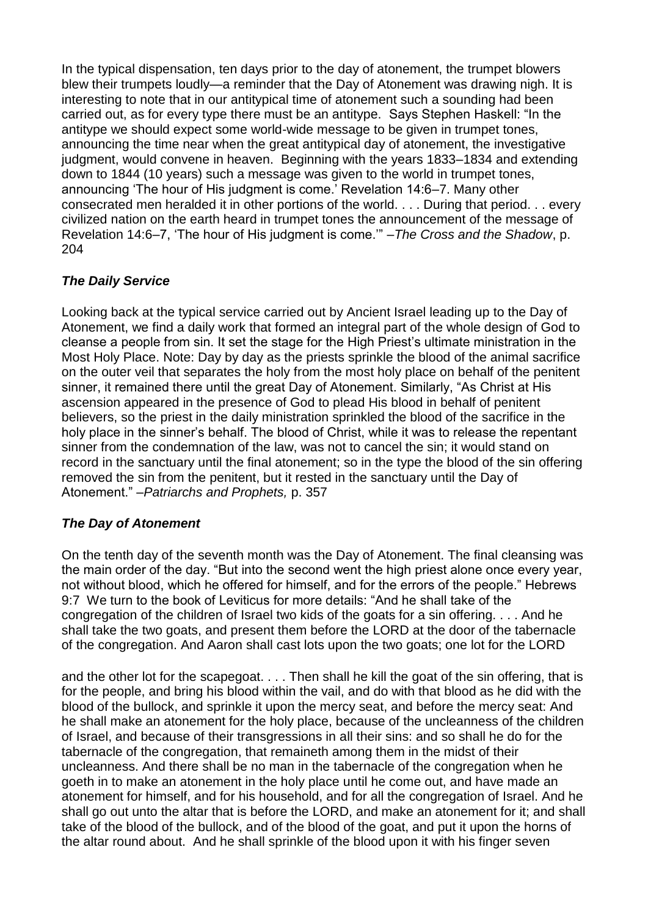In the typical dispensation, ten days prior to the day of atonement, the trumpet blowers blew their trumpets loudly—a reminder that the Day of Atonement was drawing nigh. It is interesting to note that in our antitypical time of atonement such a sounding had been carried out, as for every type there must be an antitype. Says Stephen Haskell: "In the antitype we should expect some world-wide message to be given in trumpet tones, announcing the time near when the great antitypical day of atonement, the investigative judgment, would convene in heaven. Beginning with the years 1833–1834 and extending down to 1844 (10 years) such a message was given to the world in trumpet tones, announcing 'The hour of His judgment is come.' Revelation 14:6–7. Many other consecrated men heralded it in other portions of the world. . . . During that period. . . every civilized nation on the earth heard in trumpet tones the announcement of the message of Revelation 14:6–7, 'The hour of His judgment is come.'" –*The Cross and the Shadow*, p. 204

# *The Daily Service*

Looking back at the typical service carried out by Ancient Israel leading up to the Day of Atonement, we find a daily work that formed an integral part of the whole design of God to cleanse a people from sin. It set the stage for the High Priest's ultimate ministration in the Most Holy Place. Note: Day by day as the priests sprinkle the blood of the animal sacrifice on the outer veil that separates the holy from the most holy place on behalf of the penitent sinner, it remained there until the great Day of Atonement. Similarly, "As Christ at His ascension appeared in the presence of God to plead His blood in behalf of penitent believers, so the priest in the daily ministration sprinkled the blood of the sacrifice in the holy place in the sinner's behalf. The blood of Christ, while it was to release the repentant sinner from the condemnation of the law, was not to cancel the sin; it would stand on record in the sanctuary until the final atonement; so in the type the blood of the sin offering removed the sin from the penitent, but it rested in the sanctuary until the Day of Atonement." –*Patriarchs and Prophets,* p. 357

### *The Day of Atonement*

On the tenth day of the seventh month was the Day of Atonement. The final cleansing was the main order of the day. "But into the second went the high priest alone once every year, not without blood, which he offered for himself, and for the errors of the people." Hebrews 9:7 We turn to the book of Leviticus for more details: "And he shall take of the congregation of the children of Israel two kids of the goats for a sin offering. . . . And he shall take the two goats, and present them before the LORD at the door of the tabernacle of the congregation. And Aaron shall cast lots upon the two goats; one lot for the LORD

and the other lot for the scapegoat. . . . Then shall he kill the goat of the sin offering, that is for the people, and bring his blood within the vail, and do with that blood as he did with the blood of the bullock, and sprinkle it upon the mercy seat, and before the mercy seat: And he shall make an atonement for the holy place, because of the uncleanness of the children of Israel, and because of their transgressions in all their sins: and so shall he do for the tabernacle of the congregation, that remaineth among them in the midst of their uncleanness. And there shall be no man in the tabernacle of the congregation when he goeth in to make an atonement in the holy place until he come out, and have made an atonement for himself, and for his household, and for all the congregation of Israel. And he shall go out unto the altar that is before the LORD, and make an atonement for it; and shall take of the blood of the bullock, and of the blood of the goat, and put it upon the horns of the altar round about. And he shall sprinkle of the blood upon it with his finger seven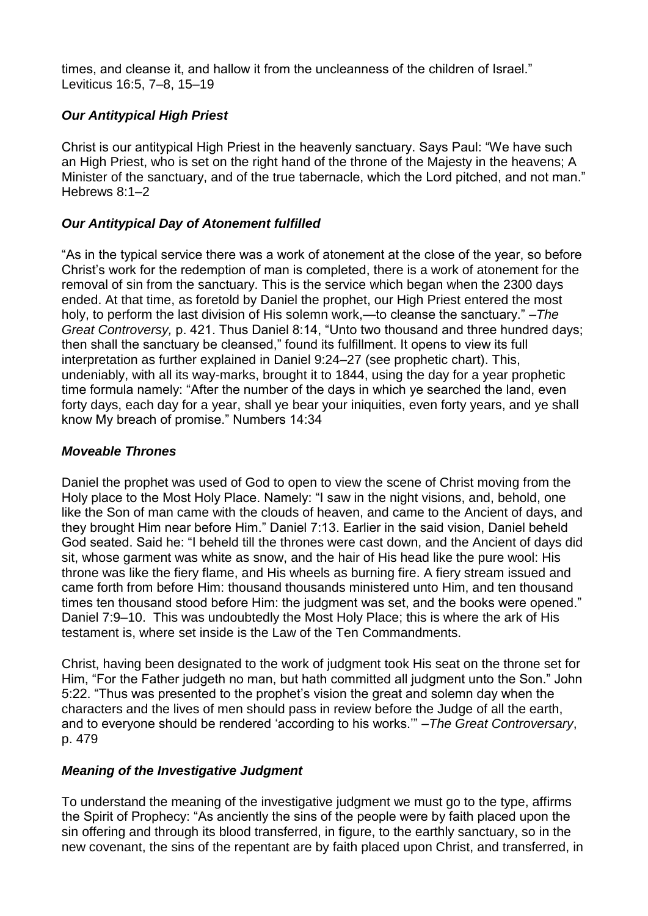times, and cleanse it, and hallow it from the uncleanness of the children of Israel." Leviticus 16:5, 7–8, 15–19

# *Our Antitypical High Priest*

Christ is our antitypical High Priest in the heavenly sanctuary. Says Paul: "We have such an High Priest, who is set on the right hand of the throne of the Majesty in the heavens; A Minister of the sanctuary, and of the true tabernacle, which the Lord pitched, and not man." Hebrews 8:1–2

## *Our Antitypical Day of Atonement fulfilled*

"As in the typical service there was a work of atonement at the close of the year, so before Christ's work for the redemption of man is completed, there is a work of atonement for the removal of sin from the sanctuary. This is the service which began when the 2300 days ended. At that time, as foretold by Daniel the prophet, our High Priest entered the most holy, to perform the last division of His solemn work,—to cleanse the sanctuary." –*The Great Controversy,* p. 421. Thus Daniel 8:14, "Unto two thousand and three hundred days; then shall the sanctuary be cleansed," found its fulfillment. It opens to view its full interpretation as further explained in Daniel 9:24–27 (see prophetic chart). This, undeniably, with all its way-marks, brought it to 1844, using the day for a year prophetic time formula namely: "After the number of the days in which ye searched the land, even forty days, each day for a year, shall ye bear your iniquities, even forty years, and ye shall know My breach of promise." Numbers 14:34

### *Moveable Thrones*

Daniel the prophet was used of God to open to view the scene of Christ moving from the Holy place to the Most Holy Place. Namely: "I saw in the night visions, and, behold, one like the Son of man came with the clouds of heaven, and came to the Ancient of days, and they brought Him near before Him." Daniel 7:13. Earlier in the said vision, Daniel beheld God seated. Said he: "I beheld till the thrones were cast down, and the Ancient of days did sit, whose garment was white as snow, and the hair of His head like the pure wool: His throne was like the fiery flame, and His wheels as burning fire. A fiery stream issued and came forth from before Him: thousand thousands ministered unto Him, and ten thousand times ten thousand stood before Him: the judgment was set, and the books were opened." Daniel 7:9–10. This was undoubtedly the Most Holy Place; this is where the ark of His testament is, where set inside is the Law of the Ten Commandments.

Christ, having been designated to the work of judgment took His seat on the throne set for Him, "For the Father judgeth no man, but hath committed all judgment unto the Son." John 5:22. "Thus was presented to the prophet's vision the great and solemn day when the characters and the lives of men should pass in review before the Judge of all the earth, and to everyone should be rendered 'according to his works.'" –*The Great Controversary*, p. 479

### *Meaning of the Investigative Judgment*

To understand the meaning of the investigative judgment we must go to the type, affirms the Spirit of Prophecy: "As anciently the sins of the people were by faith placed upon the sin offering and through its blood transferred, in figure, to the earthly sanctuary, so in the new covenant, the sins of the repentant are by faith placed upon Christ, and transferred, in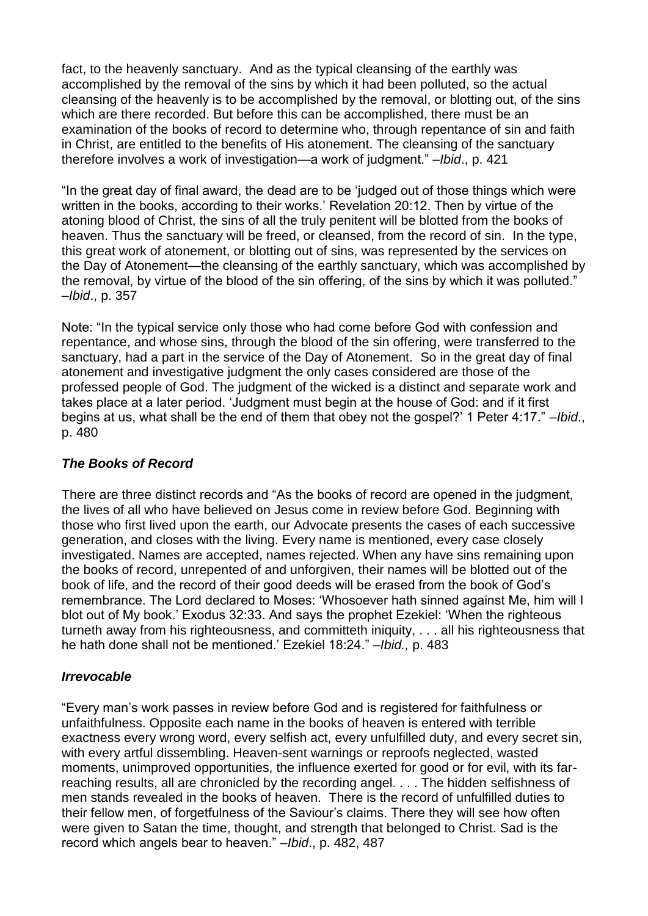fact, to the heavenly sanctuary. And as the typical cleansing of the earthly was accomplished by the removal of the sins by which it had been polluted, so the actual cleansing of the heavenly is to be accomplished by the removal, or blotting out, of the sins which are there recorded. But before this can be accomplished, there must be an examination of the books of record to determine who, through repentance of sin and faith in Christ, are entitled to the benefits of His atonement. The cleansing of the sanctuary therefore involves a work of investigation—a work of judgment." –*Ibid*., p. 421

"In the great day of final award, the dead are to be 'judged out of those things which were written in the books, according to their works.' Revelation 20:12. Then by virtue of the atoning blood of Christ, the sins of all the truly penitent will be blotted from the books of heaven. Thus the sanctuary will be freed, or cleansed, from the record of sin. In the type, this great work of atonement, or blotting out of sins, was represented by the services on the Day of Atonement—the cleansing of the earthly sanctuary, which was accomplished by the removal, by virtue of the blood of the sin offering, of the sins by which it was polluted." –*Ibid*., p. 357

Note: "In the typical service only those who had come before God with confession and repentance, and whose sins, through the blood of the sin offering, were transferred to the sanctuary, had a part in the service of the Day of Atonement. So in the great day of final atonement and investigative judgment the only cases considered are those of the professed people of God. The judgment of the wicked is a distinct and separate work and takes place at a later period. 'Judgment must begin at the house of God: and if it first begins at us, what shall be the end of them that obey not the gospel?' 1 Peter 4:17." –*Ibid*., p. 480

### *The Books of Record*

There are three distinct records and "As the books of record are opened in the judgment, the lives of all who have believed on Jesus come in review before God. Beginning with those who first lived upon the earth, our Advocate presents the cases of each successive generation, and closes with the living. Every name is mentioned, every case closely investigated. Names are accepted, names rejected. When any have sins remaining upon the books of record, unrepented of and unforgiven, their names will be blotted out of the book of life, and the record of their good deeds will be erased from the book of God's remembrance. The Lord declared to Moses: 'Whosoever hath sinned against Me, him will I blot out of My book.' Exodus 32:33. And says the prophet Ezekiel: 'When the righteous turneth away from his righteousness, and committeth iniquity, . . . all his righteousness that he hath done shall not be mentioned.' Ezekiel 18:24." –*Ibid.,* p. 483

### *Irrevocable*

"Every man's work passes in review before God and is registered for faithfulness or unfaithfulness. Opposite each name in the books of heaven is entered with terrible exactness every wrong word, every selfish act, every unfulfilled duty, and every secret sin, with every artful dissembling. Heaven-sent warnings or reproofs neglected, wasted moments, unimproved opportunities, the influence exerted for good or for evil, with its farreaching results, all are chronicled by the recording angel. . . . The hidden selfishness of men stands revealed in the books of heaven. There is the record of unfulfilled duties to their fellow men, of forgetfulness of the Saviour's claims. There they will see how often were given to Satan the time, thought, and strength that belonged to Christ. Sad is the record which angels bear to heaven." –*Ibid*., p. 482, 487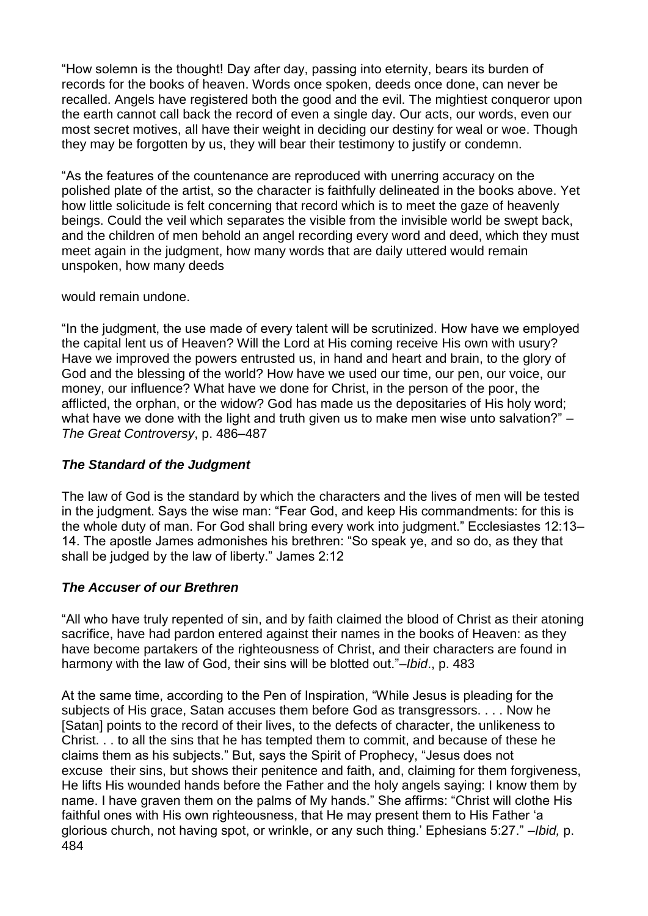"How solemn is the thought! Day after day, passing into eternity, bears its burden of records for the books of heaven. Words once spoken, deeds once done, can never be recalled. Angels have registered both the good and the evil. The mightiest conqueror upon the earth cannot call back the record of even a single day. Our acts, our words, even our most secret motives, all have their weight in deciding our destiny for weal or woe. Though they may be forgotten by us, they will bear their testimony to justify or condemn.

"As the features of the countenance are reproduced with unerring accuracy on the polished plate of the artist, so the character is faithfully delineated in the books above. Yet how little solicitude is felt concerning that record which is to meet the gaze of heavenly beings. Could the veil which separates the visible from the invisible world be swept back, and the children of men behold an angel recording every word and deed, which they must meet again in the judgment, how many words that are daily uttered would remain unspoken, how many deeds

would remain undone.

"In the judgment, the use made of every talent will be scrutinized. How have we employed the capital lent us of Heaven? Will the Lord at His coming receive His own with usury? Have we improved the powers entrusted us, in hand and heart and brain, to the glory of God and the blessing of the world? How have we used our time, our pen, our voice, our money, our influence? What have we done for Christ, in the person of the poor, the afflicted, the orphan, or the widow? God has made us the depositaries of His holy word; what have we done with the light and truth given us to make men wise unto salvation?" – *The Great Controversy*, p. 486–487

## *The Standard of the Judgment*

The law of God is the standard by which the characters and the lives of men will be tested in the judgment. Says the wise man: "Fear God, and keep His commandments: for this is the whole duty of man. For God shall bring every work into judgment." Ecclesiastes 12:13– 14. The apostle James admonishes his brethren: "So speak ye, and so do, as they that shall be judged by the law of liberty." James 2:12

### *The Accuser of our Brethren*

"All who have truly repented of sin, and by faith claimed the blood of Christ as their atoning sacrifice, have had pardon entered against their names in the books of Heaven: as they have become partakers of the righteousness of Christ, and their characters are found in harmony with the law of God, their sins will be blotted out."–*Ibid*., p. 483

At the same time, according to the Pen of Inspiration, "While Jesus is pleading for the subjects of His grace, Satan accuses them before God as transgressors. . . . Now he [Satan] points to the record of their lives, to the defects of character, the unlikeness to Christ. . . to all the sins that he has tempted them to commit, and because of these he claims them as his subjects." But, says the Spirit of Prophecy, "Jesus does not excuse their sins, but shows their penitence and faith, and, claiming for them forgiveness, He lifts His wounded hands before the Father and the holy angels saying: I know them by name. I have graven them on the palms of My hands." She affirms: "Christ will clothe His faithful ones with His own righteousness, that He may present them to His Father 'a glorious church, not having spot, or wrinkle, or any such thing.' Ephesians 5:27." –*Ibid,* p. 484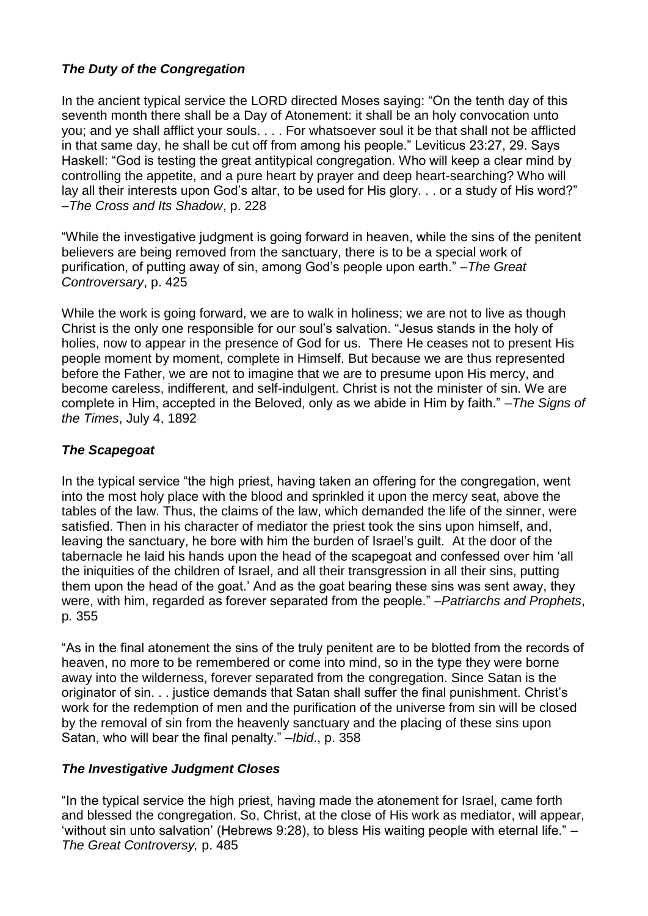# *The Duty of the Congregation*

In the ancient typical service the LORD directed Moses saying: "On the tenth day of this seventh month there shall be a Day of Atonement: it shall be an holy convocation unto you; and ye shall afflict your souls. . . . For whatsoever soul it be that shall not be afflicted in that same day, he shall be cut off from among his people." Leviticus 23:27, 29. Says Haskell: "God is testing the great antitypical congregation. Who will keep a clear mind by controlling the appetite, and a pure heart by prayer and deep heart-searching? Who will lay all their interests upon God's altar, to be used for His glory. . . or a study of His word?" –*The Cross and Its Shadow*, p. 228

"While the investigative judgment is going forward in heaven, while the sins of the penitent believers are being removed from the sanctuary, there is to be a special work of purification, of putting away of sin, among God's people upon earth." –*The Great Controversary*, p. 425

While the work is going forward, we are to walk in holiness; we are not to live as though Christ is the only one responsible for our soul's salvation. "Jesus stands in the holy of holies, now to appear in the presence of God for us. There He ceases not to present His people moment by moment, complete in Himself. But because we are thus represented before the Father, we are not to imagine that we are to presume upon His mercy, and become careless, indifferent, and self-indulgent. Christ is not the minister of sin. We are complete in Him, accepted in the Beloved, only as we abide in Him by faith." –*The Signs of the Times*, July 4, 1892

### *The Scapegoat*

In the typical service "the high priest, having taken an offering for the congregation, went into the most holy place with the blood and sprinkled it upon the mercy seat, above the tables of the law. Thus, the claims of the law, which demanded the life of the sinner, were satisfied. Then in his character of mediator the priest took the sins upon himself, and, leaving the sanctuary, he bore with him the burden of Israel's guilt. At the door of the tabernacle he laid his hands upon the head of the scapegoat and confessed over him 'all the iniquities of the children of Israel, and all their transgression in all their sins, putting them upon the head of the goat.' And as the goat bearing these sins was sent away, they were, with him, regarded as forever separated from the people." –*Patriarchs and Prophets*, p*.* 355

"As in the final atonement the sins of the truly penitent are to be blotted from the records of heaven, no more to be remembered or come into mind, so in the type they were borne away into the wilderness, forever separated from the congregation. Since Satan is the originator of sin. . . justice demands that Satan shall suffer the final punishment. Christ's work for the redemption of men and the purification of the universe from sin will be closed by the removal of sin from the heavenly sanctuary and the placing of these sins upon Satan, who will bear the final penalty." –*Ibid*., p. 358

#### *The Investigative Judgment Closes*

"In the typical service the high priest, having made the atonement for Israel, came forth and blessed the congregation. So, Christ, at the close of His work as mediator, will appear, 'without sin unto salvation' (Hebrews 9:28), to bless His waiting people with eternal life." – *The Great Controversy,* p. 485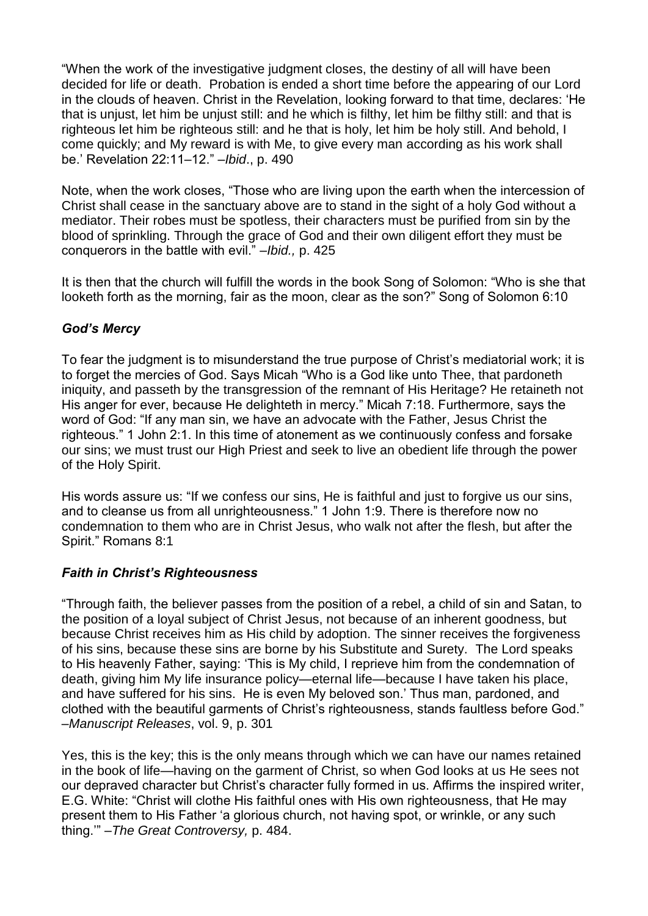"When the work of the investigative judgment closes, the destiny of all will have been decided for life or death. Probation is ended a short time before the appearing of our Lord in the clouds of heaven. Christ in the Revelation, looking forward to that time, declares: 'He that is unjust, let him be unjust still: and he which is filthy, let him be filthy still: and that is righteous let him be righteous still: and he that is holy, let him be holy still. And behold, I come quickly; and My reward is with Me, to give every man according as his work shall be.' Revelation 22:11–12." –*Ibid*., p. 490

Note, when the work closes, "Those who are living upon the earth when the intercession of Christ shall cease in the sanctuary above are to stand in the sight of a holy God without a mediator. Their robes must be spotless, their characters must be purified from sin by the blood of sprinkling. Through the grace of God and their own diligent effort they must be conquerors in the battle with evil." –*Ibid.,* p. 425

It is then that the church will fulfill the words in the book Song of Solomon: "Who is she that looketh forth as the morning, fair as the moon, clear as the son?" Song of Solomon 6:10

### *God's Mercy*

To fear the judgment is to misunderstand the true purpose of Christ's mediatorial work; it is to forget the mercies of God. Says Micah "Who is a God like unto Thee, that pardoneth iniquity, and passeth by the transgression of the remnant of His Heritage? He retaineth not His anger for ever, because He delighteth in mercy." Micah 7:18. Furthermore, says the word of God: "If any man sin, we have an advocate with the Father, Jesus Christ the righteous." 1 John 2:1. In this time of atonement as we continuously confess and forsake our sins; we must trust our High Priest and seek to live an obedient life through the power of the Holy Spirit.

His words assure us: "If we confess our sins, He is faithful and just to forgive us our sins, and to cleanse us from all unrighteousness." 1 John 1:9. There is therefore now no condemnation to them who are in Christ Jesus, who walk not after the flesh, but after the Spirit." Romans 8:1

### *Faith in Christ's Righteousness*

"Through faith, the believer passes from the position of a rebel, a child of sin and Satan, to the position of a loyal subject of Christ Jesus, not because of an inherent goodness, but because Christ receives him as His child by adoption. The sinner receives the forgiveness of his sins, because these sins are borne by his Substitute and Surety. The Lord speaks to His heavenly Father, saying: 'This is My child, I reprieve him from the condemnation of death, giving him My life insurance policy—eternal life—because I have taken his place, and have suffered for his sins. He is even My beloved son.' Thus man, pardoned, and clothed with the beautiful garments of Christ's righteousness, stands faultless before God." –*Manuscript Releases*, vol. 9, p. 301

Yes, this is the key; this is the only means through which we can have our names retained in the book of life—having on the garment of Christ, so when God looks at us He sees not our depraved character but Christ's character fully formed in us. Affirms the inspired writer, E.G. White: "Christ will clothe His faithful ones with His own righteousness, that He may present them to His Father 'a glorious church, not having spot, or wrinkle, or any such thing.'" –*The Great Controversy,* p. 484.